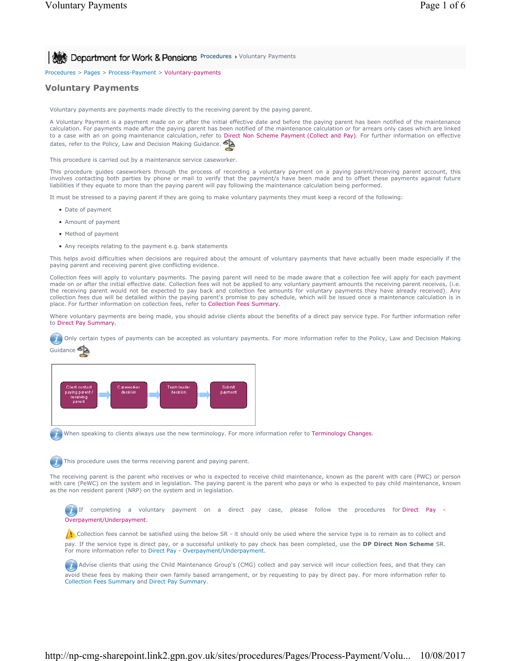Procedures > Pages > Process-Payment > Voluntary-payments

## **Voluntary Payments**

Voluntary payments are payments made directly to the receiving parent by the paying parent.

A Voluntary Payment is a payment made on or after the initial effective date and before the paying parent has been notified of the maintenance calculation. For payments made after the paying parent has been notified of the maintenance calculation or for arrears only cases which are linked to a case with an on going maintenance calculation, refer to Direct Non Scheme Payment (Collect and Pay). For further information on effective<br>dates refer to the Policy Law and Decision Making Guidance. dates, refer to the Policy, Law and Decision Making Guidance.

This procedure is carried out by a maintenance service caseworker.

This procedure guides caseworkers through the process of recording a voluntary payment on a paying parent/receiving parent account, this involves contacting both parties by phone or mail to verify that the payment/s have been made and to offset these payments against future liabilities if they equate to more than the paying parent will pay following the maintenance calculation being performed.

It must be stressed to a paying parent if they are going to make voluntary payments they must keep a record of the following:

- Date of payment
- Amount of payment
- Method of payment
- Any receipts relating to the payment e.g. bank statements

This helps avoid difficulties when decisions are required about the amount of voluntary payments that have actually been made especially if the paying parent and receiving parent give conflicting evidence.

Collection fees will apply to voluntary payments. The paying parent will need to be made aware that a collection fee will apply for each payment made on or after the initial effective date. Collection fees will not be applied to any voluntary payment amounts the receiving parent receives, (i.e. the receiving parent would not be expected to pay back and collection fee amounts for voluntary payments they have already received). Any collection fees due will be detailed within the paying parent's promise to pay schedule, which will be issued once a maintenance calculation is in place. For further information on collection fees, refer to Collection Fees Summary.

Where voluntary payments are being made, you should advise clients about the benefits of a direct pay service type. For further information refer to Direct Pay Summary.

Only certain types of payments can be accepted as voluntary payments. For more information refer to the Policy, Law and Decision Making Guidance



When speaking to clients always use the new terminology. For more information refer to Terminology Changes.

This procedure uses the terms receiving parent and paying parent.

The receiving parent is the parent who receives or who is expected to receive child maintenance, known as the parent with care (PWC) or person with care (PeWC) on the system and in legislation. The paying parent is the parent who pays or who is expected to pay child maintenance, known as the non resident parent (NRP) on the system and in legislation.

If completing a voluntary payment on a direct pay case, please follow the procedures for Direct Pay Overpayment/Underpayment.

Collection fees cannot be satisfied using the below SR - it should only be used where the service type is to remain as to collect and pay. If the service type is direct pay, or a successful unlikely to pay check has been completed, use the **DP Direct Non Scheme** SR. For more information refer to Direct Pay - Overpayment/Underpayment.

 Advise clients that using the Child Maintenance Group's (CMG) collect and pay service will incur collection fees, and that they can avoid these fees by making their own family based arrangement, or by requesting to pay by direct pay. For more information refer to Collection Fees Summary and Direct Pay Summary.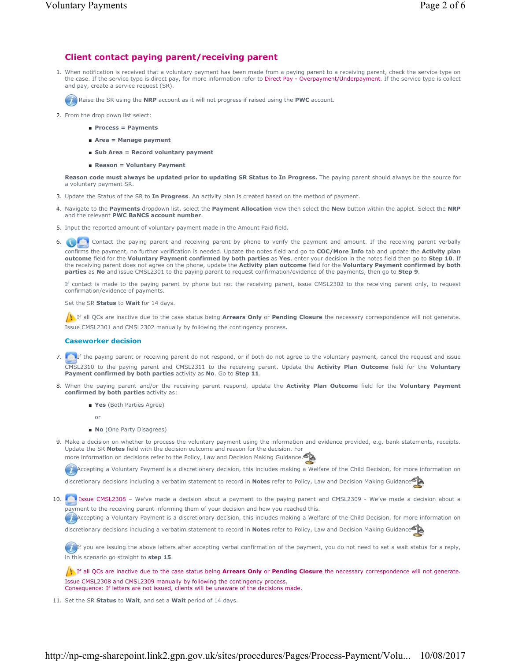## **Client contact paying parent/receiving parent**

1. When notification is received that a voluntary payment has been made from a paying parent to a receiving parent, check the service type on the case. If the service type is direct pay, for more information refer to Direct Pay - Overpayment/Underpayment. If the service type is collect and pay, create a service request (SR).

Raise the SR using the **NRP** account as it will not progress if raised using the **PWC** account.

- 2. From the drop down list select:
	- **Process = Payments**
	- **Area = Manage payment**
	- **Sub Area = Record voluntary payment**
	- **Reason = Voluntary Payment**

**Reason code must always be updated prior to updating SR Status to In Progress.** The paying parent should always be the source for a voluntary payment SR.

- 3. Update the Status of the SR to **In Progress**. An activity plan is created based on the method of payment.
- Navigate to the **Payments** dropdown list, select the **Payment Allocation** view then select the **New** button within the applet. Select the **NRP** 4. and the relevant **PWC BaNCS account number**.
- 5. Input the reported amount of voluntary payment made in the Amount Paid field.
- 6. **Contact the paying parent and receiving parent by phone to verify the payment and amount.** If the receiving parent verbally confirms the payment, no further verification is needed. Update the notes field and go to **COC/More Info** tab and update the **Activity plan outcome** field for the **Voluntary Payment confirmed by both parties** as **Yes**, enter your decision in the notes field then go to **Step 10**. If the receiving parent does not agree on the phone, update the **Activity plan outcome** field for the **Voluntary Payment confirmed by both parties** as **No** and issue CMSL2301 to the paying parent to request confirmation/evidence of the payments, then go to **Step 9**.

If contact is made to the paying parent by phone but not the receiving parent, issue CMSL2302 to the receiving parent only, to request confirmation/evidence of payments.

Set the SR **Status** to **Wait** for 14 days.

If all QCs are inactive due to the case status being **Arrears Only** or **Pending Closure** the necessary correspondence will not generate. Issue CMSL2301 and CMSL2302 manually by following the contingency process.

#### **Caseworker decision**

- 7. **If the paying parent or receiving parent do not respond, or if both do not agree to the voluntary payment, cancel the request and issue** CMSL2310 to the paying parent and CMSL2311 to the receiving parent. Update the **Activity Plan Outcome** field for the **Voluntary Payment confirmed by both parties** activity as **No**. Go to **Step 11**.
- 8. When the paying parent and/or the receiving parent respond, update the **Activity Plan Outcome** field for the **Voluntary Payment confirmed by both parties** activity as:
	- **Yes** (Both Parties Agree)

or

- **No** (One Party Disagrees)
- Make a decision on whether to process the voluntary payment using the information and evidence provided, e.g. bank statements, receipts. 9. Update the SR **Notes** field with the decision outcome and reason for the decision. For more information on decisions refer to the Policy, Law and Decision Making Guidance.

Accepting a Voluntary Payment is a discretionary decision, this includes making a Welfare of the Child Decision, for more information on

discretionary decisions including a verbatim statement to record in **Notes** refer to Policy, Law and Decision Making Guidance

10. Issue CMSL2308 – We've made a decision about a payment to the paying parent and CMSL2309 - We've made a decision about a payment to the receiving parent informing them of your decision and how you reached this.

Accepting a Voluntary Payment is a discretionary decision, this includes making a Welfare of the Child Decision, for more information on

discretionary decisions including a verbatim statement to record in **Notes** refer to Policy, Law and Decision Making Guidance

If you are issuing the above letters after accepting verbal confirmation of the payment, you do not need to set a wait status for a reply, in this scenario go straight to **step 15**.

If all QCs are inactive due to the case status being **Arrears Only** or **Pending Closure** the necessary correspondence will not generate. Issue CMSL2308 and CMSL2309 manually by following the contingency process. Consequence: If letters are not issued, clients will be unaware of the decisions made.

11. Set the SR **Status** to **Wait**, and set a **Wait** period of 14 days.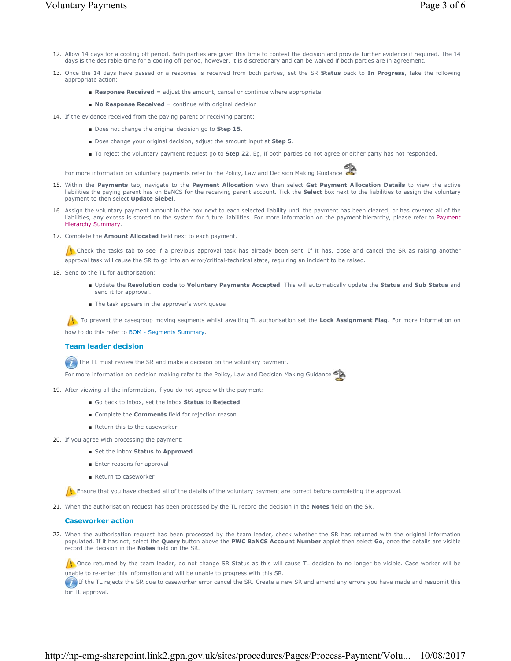- 12. Allow 14 days for a cooling off period. Both parties are given this time to contest the decision and provide further evidence if required. The 14 days is the desirable time for a cooling off period, however, it is discretionary and can be waived if both parties are in agreement.
- 13. Once the 14 days have passed or a response is received from both parties, set the SR **Status** back to In Progress, take the following appropriate action:
	- **Response Received** = adjust the amount, cancel or continue where appropriate
	- **No Response Received** = continue with original decision
- 14. If the evidence received from the paying parent or receiving parent:
	- Does not change the original decision go to Step 15.
	- Does change your original decision, adjust the amount input at **Step 5**.
	- To reject the voluntary payment request go to **Step 22**. Eg, if both parties do not agree or either party has not responded.

For more information on voluntary payments refer to the Policy, Law and Decision Making Guidance

- 15. Within the Payments tab, navigate to the Payment Allocation view then select Get Payment Allocation Details to view the active liabilities the paying parent has on BaNCS for the receiving parent account. Tick the **Select** box next to the liabilities to assign the voluntary payment to then select **Update Siebel**.
- 16. Assign the voluntary payment amount in the box next to each selected liability until the payment has been cleared, or has covered all of the liabilities, any excess is stored on the system for future liabilities. For more information on the payment hierarchy, please refer to Payment Hierarchy Summary.
- 17. Complete the **Amount Allocated** field next to each payment.

 $\Lambda$  Check the tasks tab to see if a previous approval task has already been sent. If it has, close and cancel the SR as raising another approval task will cause the SR to go into an error/critical-technical state, requiring an incident to be raised.

- 18. Send to the TL for authorisation:
	- Update the Resolution code to Voluntary Payments Accepted. This will automatically update the Status and Sub Status and send it for approval.
	- The task appears in the approver's work queue

To prevent the casegroup moving segments whilst awaiting TL authorisation set the Lock Assignment Flag. For more information on how to do this refer to BOM - Segments Summary.

### **Team leader decision**

The TL must review the SR and make a decision on the voluntary payment.

For more information on decision making refer to the Policy, Law and Decision Making Guidance

- 19. After viewing all the information, if you do not agree with the payment:
	- Go back to inbox, set the inbox **Status** to **Rejected**
	- Complete the **Comments** field for rejection reason
	- Return this to the caseworker
- 20. If you agree with processing the payment:
	- Set the inbox **Status** to **Approved**
	- Enter reasons for approval
	- Return to caseworker

Ensure that you have checked all of the details of the voluntary payment are correct before completing the approval.

21. When the authorisation request has been processed by the TL record the decision in the **Notes** field on the SR.

### **Caseworker action**

22. When the authorisation request has been processed by the team leader, check whether the SR has returned with the original information populated. If it has not, select the **Query** button above the **PWC BaNCS Account Number** applet then select **Go**, once the details are visible record the decision in the **Notes** field on the SR.

Once returned by the team leader, do not change SR Status as this will cause TL decision to no longer be visible. Case worker will be unable to re-enter this information and will be unable to progress with this SR.

If it the TL rejects the SR due to caseworker error cancel the SR. Create a new SR and amend any errors you have made and resubmit this for TL approval.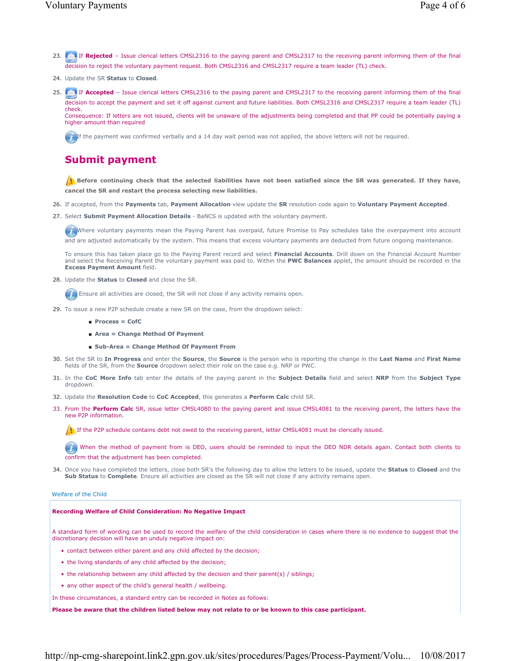- 23. If **Rejected** Issue clerical letters CMSL2316 to the paying parent and CMSL2317 to the receiving parent informing them of the final decision to reject the voluntary payment request. Both CMSL2316 and CMSL2317 require a team leader (TL) check.
- 24. Update the SR **Status** to **Closed**.
- 25. If **Accepted** Issue clerical letters CMSL2316 to the paying parent and CMSL2317 to the receiving parent informing them of the final decision to accept the payment and set it off against current and future liabilities. Both CMSL2316 and CMSL2317 require a team leader (TL) check. Consequence: If letters are not issued, clients will be unaware of the adjustments being completed and that PP could be potentially paying a higher amount than required

If the payment was confirmed verbally and a 14 day wait period was not applied, the above letters will not be required.

# **Submit payment**

**Before continuing check that the selected liabilities have not been satisfied since the SR was generated. If they have, cancel the SR and restart the process selecting new liabilities.**

- 26. If accepted, from the **Payments** tab, **Payment Allocation** view update the **SR** resolution code again to **Voluntary Payment Accepted**.
- 27. Select **Submit Payment Allocation Details** BaNCS is updated with the voluntary payment.

Where voluntary payments mean the Paying Parent has overpaid, future Promise to Pay schedules take the overpayment into account and are adjusted automatically by the system. This means that excess voluntary payments are deducted from future ongoing maintenance.

To ensure this has taken place go to the Paying Parent record and select **Financial Accounts**. Drill down on the Financial Account Number and select the Receiving Parent the voluntary payment was paid to. Within the **PWC Balances** applet, the amount should be recorded in the **Excess Payment Amount** field.

28. Update the **Status** to **Closed** and close the SR.

**Ensure all activities are closed, the SR will not close if any activity remains open.** 

- 29. To issue a new P2P schedule create a new SR on the case, from the dropdown select:
	- **Process = CofC**
	- **Area = Change Method Of Payment**
	- **Sub-Area = Change Method Of Payment From**
- Set the SR to **In Progress** and enter the **Source**, the **Source** is the person who is reporting the change in the **Last Name** and **First Name** 30. fields of the SR, from the **Source** dropdown select their role on the case e.g. NRP or PWC.
- In the **CoC More Info** tab enter the details of the paying parent in the **Subject Details** field and select **NRP** from the **Subject Type** 31. dropdown.
- 32. Update the **Resolution Code** to **CoC Accepted**, this generates a **Perform Calc** child SR.
- 33. From the Perform Calc SR, issue letter CMSL4080 to the paying parent and issue CMSL4081 to the receiving parent, the letters have the new P2P information.

If the P2P schedule contains debt not owed to the receiving parent, letter CMSL4081 must be clerically issued.

When the method of payment from is DEO, users should be reminded to input the DEO NDR details again. Contact both clients to confirm that the adjustment has been completed.

34. Once you have completed the letters, close both SR's the following day to allow the letters to be issued, update the **Status** to Closed and the **Sub Status** to **Complete**. Ensure all activities are closed as the SR will not close if any activity remains open.

#### Welfare of the Child

#### **Recording Welfare of Child Consideration: No Negative Impact**

A standard form of wording can be used to record the welfare of the child consideration in cases where there is no evidence to suggest that the discretionary decision will have an unduly negative impact on:

- contact between either parent and any child affected by the decision;
- the living standards of any child affected by the decision;
- the relationship between any child affected by the decision and their parent(s) / siblings;
- any other aspect of the child's general health / wellbeing.

In these circumstances, a standard entry can be recorded in Notes as follows:

**Please be aware that the children listed below may not relate to or be known to this case participant.**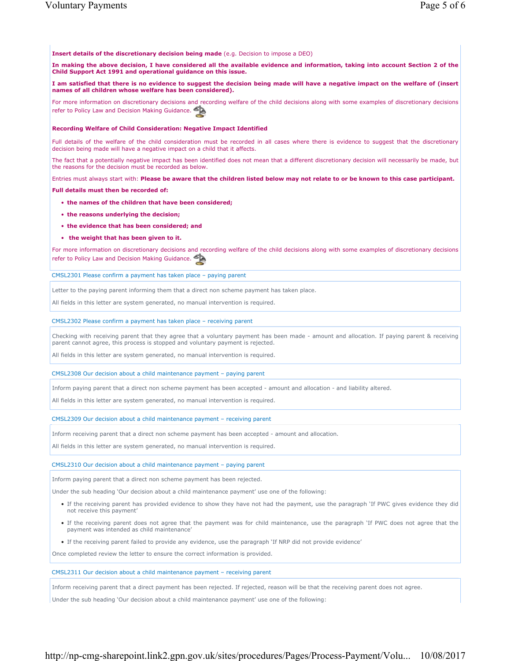**Insert details of the discretionary decision being made** (e.g. Decision to impose a DEO)

**In making the above decision, I have considered all the available evidence and information, taking into account Section 2 of the Child Support Act 1991 and operational guidance on this issue.**

**I am satisfied that there is no evidence to suggest the decision being made will have a negative impact on the welfare of (insert names of all children whose welfare has been considered).**

For more information on discretionary decisions and recording welfare of the child decisions along with some examples of discretionary decisions refer to Policy Law and Decision Making Guidance.

#### **Recording Welfare of Child Consideration: Negative Impact Identified**

Full details of the welfare of the child consideration must be recorded in all cases where there is evidence to suggest that the discretionary decision being made will have a negative impact on a child that it affects.

The fact that a potentially negative impact has been identified does not mean that a different discretionary decision will necessarily be made, but the reasons for the decision must be recorded as below.

Entries must always start with: **Please be aware that the children listed below may not relate to or be known to this case participant.**

**Full details must then be recorded of:**

- **the names of the children that have been considered;**
- **the reasons underlying the decision;**
- **the evidence that has been considered; and**
- **the weight that has been given to it.**

For more information on discretionary decisions and recording welfare of the child decisions along with some examples of discretionary decisions refer to Policy Law and Decision Making Guidance.

CMSL2301 Please confirm a payment has taken place – paying parent

Letter to the paying parent informing them that a direct non scheme payment has taken place.

All fields in this letter are system generated, no manual intervention is required.

#### CMSL2302 Please confirm a payment has taken place – receiving parent

Checking with receiving parent that they agree that a voluntary payment has been made - amount and allocation. If paying parent & receiving parent cannot agree, this process is stopped and voluntary payment is rejected.

All fields in this letter are system generated, no manual intervention is required.

#### CMSL2308 Our decision about a child maintenance payment – paying parent

Inform paying parent that a direct non scheme payment has been accepted - amount and allocation - and liability altered.

All fields in this letter are system generated, no manual intervention is required.

CMSL2309 Our decision about a child maintenance payment – receiving parent

Inform receiving parent that a direct non scheme payment has been accepted - amount and allocation.

All fields in this letter are system generated, no manual intervention is required.

#### CMSL2310 Our decision about a child maintenance payment – paying parent

Inform paying parent that a direct non scheme payment has been rejected.

Under the sub heading 'Our decision about a child maintenance payment' use one of the following:

- If the receiving parent has provided evidence to show they have not had the payment, use the paragraph 'If PWC gives evidence they did not receive this payment'
- If the receiving parent does not agree that the payment was for child maintenance, use the paragraph 'If PWC does not agree that the payment was intended as child maintenance'
- If the receiving parent failed to provide any evidence, use the paragraph 'If NRP did not provide evidence'

Once completed review the letter to ensure the correct information is provided.

### CMSL2311 Our decision about a child maintenance payment – receiving parent

Inform receiving parent that a direct payment has been rejected. If rejected, reason will be that the receiving parent does not agree.

Under the sub heading 'Our decision about a child maintenance payment' use one of the following: